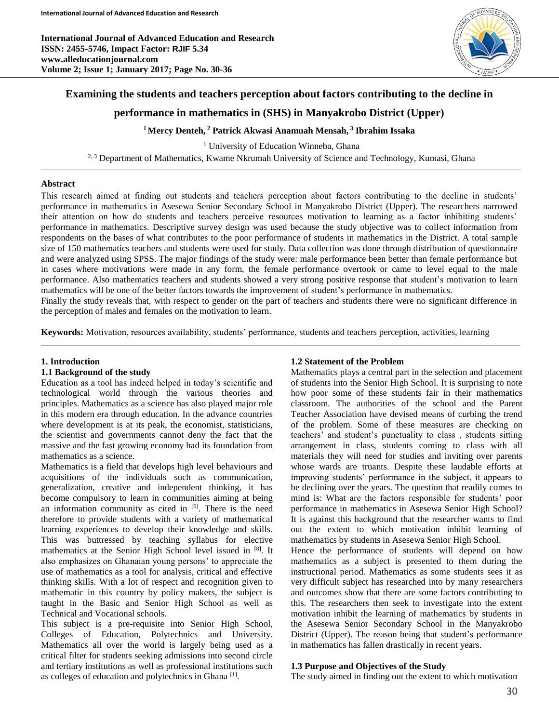**International Journal of Advanced Education and Research ISSN: 2455-5746, Impact Factor: RJIF 5.34 www.alleducationjournal.com Volume 2; Issue 1; January 2017; Page No. 30-36**



# **Examining the students and teachers perception about factors contributing to the decline in**

# **performance in mathematics in (SHS) in Manyakrobo District (Upper)**

# **<sup>1</sup>Mercy Denteh, <sup>2</sup> Patrick Akwasi Anamuah Mensah, <sup>3</sup> Ibrahim Issaka**

<sup>1</sup> University of Education Winneba, Ghana <sup>2, 3</sup> Department of Mathematics, Kwame Nkrumah University of Science and Technology, Kumasi, Ghana

# **Abstract**

This research aimed at finding out students and teachers perception about factors contributing to the decline in students' performance in mathematics in Asesewa Senior Secondary School in Manyakrobo District (Upper). The researchers narrowed their attention on how do students and teachers perceive resources motivation to learning as a factor inhibiting students' performance in mathematics. Descriptive survey design was used because the study objective was to collect information from respondents on the bases of what contributes to the poor performance of students in mathematics in the District. A total sample size of 150 mathematics teachers and students were used for study. Data collection was done through distribution of questionnaire and were analyzed using SPSS. The major findings of the study were: male performance been better than female performance but in cases where motivations were made in any form, the female performance overtook or came to level equal to the male performance. Also mathematics teachers and students showed a very strong positive response that student's motivation to learn mathematics will be one of the better factors towards the improvement of student's performance in mathematics.

Finally the study reveals that, with respect to gender on the part of teachers and students there were no significant difference in the perception of males and females on the motivation to learn.

**Keywords:** Motivation, resources availability, students' performance, students and teachers perception, activities, learning

# **1. Introduction**

# **1.1 Background of the study**

Education as a tool has indeed helped in today's scientific and technological world through the various theories and principles. Mathematics as a science has also played major role in this modern era through education. In the advance countries where development is at its peak, the economist, statisticians, the scientist and governments cannot deny the fact that the massive and the fast growing economy had its foundation from mathematics as a science.

Mathematics is a field that develops high level behaviours and acquisitions of the individuals such as communication, generalization, creative and independent thinking, it has become compulsory to learn in communities aiming at being an information community as cited in  $[6]$ . There is the need therefore to provide students with a variety of mathematical learning experiences to develop their knowledge and skills. This was buttressed by teaching syllabus for elective mathematics at the Senior High School level issued in [8]. It also emphasizes on Ghanaian young persons' to appreciate the use of mathematics as a tool for analysis, critical and effective thinking skills. With a lot of respect and recognition given to mathematic in this country by policy makers, the subject is taught in the Basic and Senior High School as well as Technical and Vocational schools.

This subject is a pre-requisite into Senior High School, Colleges of Education, Polytechnics and University. Mathematics all over the world is largely being used as a critical filter for students seeking admissions into second circle and tertiary institutions as well as professional institutions such as colleges of education and polytechnics in Ghana<sup>[1]</sup>.

### **1.2 Statement of the Problem**

Mathematics plays a central part in the selection and placement of students into the Senior High School. It is surprising to note how poor some of these students fair in their mathematics classroom. The authorities of the school and the Parent Teacher Association have devised means of curbing the trend of the problem. Some of these measures are checking on teachers' and student's punctuality to class , students sitting arrangement in class, students coming to class with all materials they will need for studies and inviting over parents whose wards are truants. Despite these laudable efforts at improving students' performance in the subject, it appears to be declining over the years. The question that readily comes to mind is: What are the factors responsible for students' poor performance in mathematics in Asesewa Senior High School? It is against this background that the researcher wants to find out the extent to which motivation inhibit learning of mathematics by students in Asesewa Senior High School.

Hence the performance of students will depend on how mathematics as a subject is presented to them during the instructional period. Mathematics as some students sees it as very difficult subject has researched into by many researchers and outcomes show that there are some factors contributing to this. The researchers then seek to investigate into the extent motivation inhibit the learning of mathematics by students in the Asesewa Senior Secondary School in the Manyakrobo District (Upper). The reason being that student's performance in mathematics has fallen drastically in recent years.

### **1.3 Purpose and Objectives of the Study**

The study aimed in finding out the extent to which motivation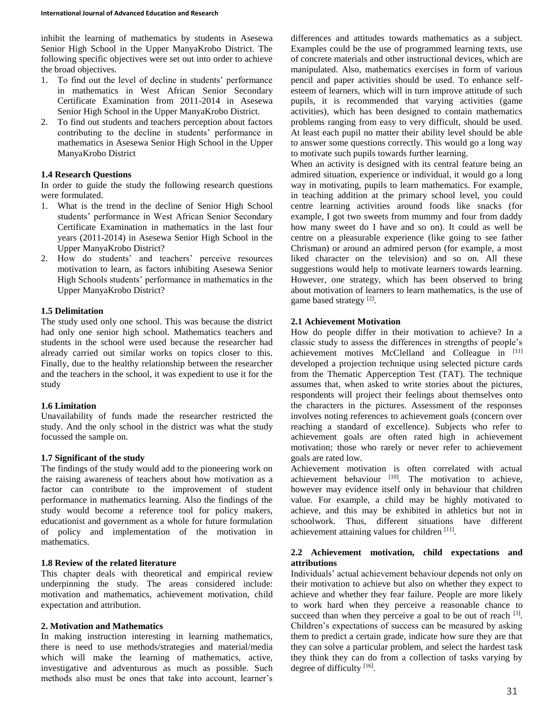inhibit the learning of mathematics by students in Asesewa Senior High School in the Upper ManyaKrobo District. The following specific objectives were set out into order to achieve the broad objectives.

- 1. To find out the level of decline in students' performance in mathematics in West African Senior Secondary Certificate Examination from 2011-2014 in Asesewa Senior High School in the Upper ManyaKrobo District.
- 2. To find out students and teachers perception about factors contributing to the decline in students' performance in mathematics in Asesewa Senior High School in the Upper ManyaKrobo District

### **1.4 Research Questions**

In order to guide the study the following research questions were formulated.

- 1. What is the trend in the decline of Senior High School students' performance in West African Senior Secondary Certificate Examination in mathematics in the last four years (2011-2014) in Asesewa Senior High School in the Upper ManyaKrobo District?
- 2. How do students' and teachers' perceive resources motivation to learn, as factors inhibiting Asesewa Senior High Schools students' performance in mathematics in the Upper ManyaKrobo District?

### **1.5 Delimitation**

The study used only one school. This was because the district had only one senior high school. Mathematics teachers and students in the school were used because the researcher had already carried out similar works on topics closer to this. Finally, due to the healthy relationship between the researcher and the teachers in the school, it was expedient to use it for the study

### **1.6 Limitation**

Unavailability of funds made the researcher restricted the study. And the only school in the district was what the study focussed the sample on.

### **1.7 Significant of the study**

The findings of the study would add to the pioneering work on the raising awareness of teachers about how motivation as a factor can contribute to the improvement of student performance in mathematics learning. Also the findings of the study would become a reference tool for policy makers, educationist and government as a whole for future formulation of policy and implementation of the motivation in mathematics.

### **1.8 Review of the related literature**

This chapter deals with theoretical and empirical review underpinning the study. The areas considered include: motivation and mathematics, achievement motivation, child expectation and attribution.

#### **2. Motivation and Mathematics**

In making instruction interesting in learning mathematics, there is need to use methods/strategies and material/media which will make the learning of mathematics, active, investigative and adventurous as much as possible. Such methods also must be ones that take into account, learner's differences and attitudes towards mathematics as a subject. Examples could be the use of programmed learning texts, use of concrete materials and other instructional devices, which are manipulated. Also, mathematics exercises in form of various pencil and paper activities should be used. To enhance selfesteem of learners, which will in turn improve attitude of such pupils, it is recommended that varying activities (game activities), which has been designed to contain mathematics problems ranging from easy to very difficult, should be used. At least each pupil no matter their ability level should be able to answer some questions correctly. This would go a long way to motivate such pupils towards further learning.

When an activity is designed with its central feature being an admired situation, experience or individual, it would go a long way in motivating, pupils to learn mathematics. For example, in teaching addition at the primary school level, you could centre learning activities around foods like snacks (for example, I got two sweets from mummy and four from daddy how many sweet do I have and so on). It could as well be centre on a pleasurable experience (like going to see father Chrisman) or around an admired person (for example, a most liked character on the television) and so on. All these suggestions would help to motivate learners towards learning. However, one strategy, which has been observed to bring about motivation of learners to learn mathematics, is the use of game based strategy<sup>[2]</sup>.

### **2.1 Achievement Motivation**

How do people differ in their motivation to achieve? In a classic study to assess the differences in strengths of people's achievement motives McClelland and Colleague in [11] developed a projection technique using selected picture cards from the Thematic Apperception Test (TAT). The technique assumes that, when asked to write stories about the pictures, respondents will project their feelings about themselves onto the characters in the pictures. Assessment of the responses involves noting references to achievement goals (concern over reaching a standard of excellence). Subjects who refer to achievement goals are often rated high in achievement motivation; those who rarely or never refer to achievement goals are rated low.

Achievement motivation is often correlated with actual achievement behaviour [10]. The motivation to achieve, however may evidence itself only in behaviour that children value. For example, a child may be highly motivated to achieve, and this may be exhibited in athletics but not in schoolwork. Thus, different situations have different achievement attaining values for children [11].

### **2.2 Achievement motivation, child expectations and attributions**

Individuals' actual achievement behaviour depends not only on their motivation to achieve but also on whether they expect to achieve and whether they fear failure. People are more likely to work hard when they perceive a reasonable chance to succeed than when they perceive a goal to be out of reach  $[3]$ . Children's expectations of success can be measured by asking them to predict a certain grade, indicate how sure they are that they can solve a particular problem, and select the hardest task they think they can do from a collection of tasks varying by degree of difficulty [16].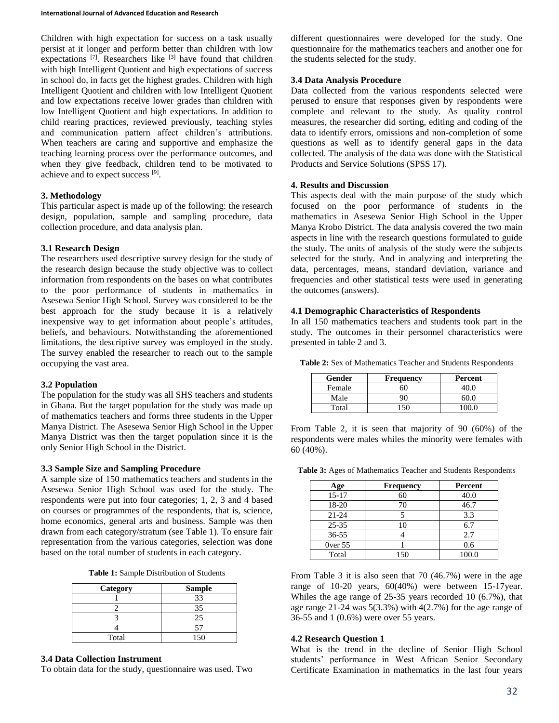Children with high expectation for success on a task usually persist at it longer and perform better than children with low expectations [7]. Researchers like [3] have found that children with high Intelligent Quotient and high expectations of success in school do, in facts get the highest grades. Children with high Intelligent Quotient and children with low Intelligent Quotient and low expectations receive lower grades than children with low Intelligent Quotient and high expectations. In addition to child rearing practices, reviewed previously, teaching styles and communication pattern affect children's attributions. When teachers are caring and supportive and emphasize the teaching learning process over the performance outcomes, and when they give feedback, children tend to be motivated to achieve and to expect success [9].

### **3. Methodology**

This particular aspect is made up of the following: the research design, population, sample and sampling procedure, data collection procedure, and data analysis plan.

### **3.1 Research Design**

The researchers used descriptive survey design for the study of the research design because the study objective was to collect information from respondents on the bases on what contributes to the poor performance of students in mathematics in Asesewa Senior High School. Survey was considered to be the best approach for the study because it is a relatively inexpensive way to get information about people's attitudes, beliefs, and behaviours. Notwithstanding the aforementioned limitations, the descriptive survey was employed in the study. The survey enabled the researcher to reach out to the sample occupying the vast area.

# **3.2 Population**

The population for the study was all SHS teachers and students in Ghana. But the target population for the study was made up of mathematics teachers and forms three students in the Upper Manya District. The Asesewa Senior High School in the Upper Manya District was then the target population since it is the only Senior High School in the District.

# **3.3 Sample Size and Sampling Procedure**

A sample size of 150 mathematics teachers and students in the Asesewa Senior High School was used for the study. The respondents were put into four categories; 1, 2, 3 and 4 based on courses or programmes of the respondents, that is, science, home economics, general arts and business. Sample was then drawn from each category/stratum (see Table 1). To ensure fair representation from the various categories, selection was done based on the total number of students in each category.

|  |  | <b>Table 1:</b> Sample Distribution of Students |  |
|--|--|-------------------------------------------------|--|
|--|--|-------------------------------------------------|--|

| Category | <b>Sample</b> |
|----------|---------------|
|          |               |
|          | 35.           |
|          | 25            |
|          |               |
| Total    |               |

### **3.4 Data Collection Instrument**

To obtain data for the study, questionnaire was used. Two

different questionnaires were developed for the study. One questionnaire for the mathematics teachers and another one for the students selected for the study.

# **3.4 Data Analysis Procedure**

Data collected from the various respondents selected were perused to ensure that responses given by respondents were complete and relevant to the study. As quality control measures, the researcher did sorting, editing and coding of the data to identify errors, omissions and non-completion of some questions as well as to identify general gaps in the data collected. The analysis of the data was done with the Statistical Products and Service Solutions (SPSS 17).

### **4. Results and Discussion**

This aspects deal with the main purpose of the study which focused on the poor performance of students in the mathematics in Asesewa Senior High School in the Upper Manya Krobo District. The data analysis covered the two main aspects in line with the research questions formulated to guide the study. The units of analysis of the study were the subjects selected for the study. And in analyzing and interpreting the data, percentages, means, standard deviation, variance and frequencies and other statistical tests were used in generating the outcomes (answers).

### **4.1 Demographic Characteristics of Respondents**

In all 150 mathematics teachers and students took part in the study. The outcomes in their personnel characteristics were presented in table 2 and 3.

**Table 2:** Sex of Mathematics Teacher and Students Respondents

| Gender | <b>Frequency</b> | Percent |
|--------|------------------|---------|
| Female |                  |         |
| Male   |                  | 60 N    |
| Total  |                  |         |

From Table 2, it is seen that majority of 90 (60%) of the respondents were males whiles the minority were females with 60 (40%).

**Table 3:** Ages of Mathematics Teacher and Students Respondents

| Age          | <b>Frequency</b> | Percent |
|--------------|------------------|---------|
| $15 - 17$    | 60               | 40.0    |
| 18-20        |                  | 46.7    |
| $21 - 24$    |                  | 3.3     |
| $25 - 35$    |                  | 6.7     |
| $36 - 55$    |                  | 2.7     |
| $0$ ver $55$ |                  | 0.6     |
| Total        | 150              | 100.0   |

From Table 3 it is also seen that 70 (46.7%) were in the age range of 10-20 years, 60(40%) were between 15-17year. Whiles the age range of 25-35 years recorded 10 (6.7%), that age range 21-24 was 5(3.3%) with 4(2.7%) for the age range of 36-55 and 1 (0.6%) were over 55 years.

### **4.2 Research Question 1**

What is the trend in the decline of Senior High School students' performance in West African Senior Secondary Certificate Examination in mathematics in the last four years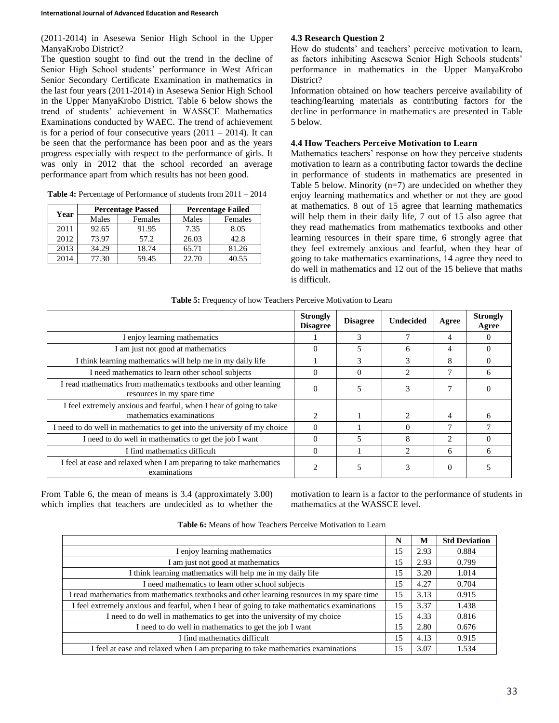(2011-2014) in Asesewa Senior High School in the Upper ManyaKrobo District?

The question sought to find out the trend in the decline of Senior High School students' performance in West African Senior Secondary Certificate Examination in mathematics in the last four years (2011-2014) in Asesewa Senior High School in the Upper ManyaKrobo District. Table 6 below shows the trend of students' achievement in WASSCE Mathematics Examinations conducted by WAEC. The trend of achievement is for a period of four consecutive years  $(2011 - 2014)$ . It can be seen that the performance has been poor and as the years progress especially with respect to the performance of girls. It was only in 2012 that the school recorded an average performance apart from which results has not been good.

**Table 4:** Percentage of Performance of students from 2011 – 2014

|      | <b>Percentage Passed</b> |         | <b>Percentage Failed</b> |         |  |
|------|--------------------------|---------|--------------------------|---------|--|
| Year | Males                    | Females | Males                    | Females |  |
| 2011 | 92.65                    | 91.95   | 7.35                     | 8.05    |  |
| 2012 | 73.97                    | 57.2    | 26.03                    | 42.8    |  |
| 2013 | 34.29                    | 18.74   | 65.71                    | 81.26   |  |
| 2014 | 77.30                    | 59.45   | 22.70                    | 40.55   |  |
|      |                          |         |                          |         |  |

### **4.3 Research Question 2**

How do students' and teachers' perceive motivation to learn, as factors inhibiting Asesewa Senior High Schools students' performance in mathematics in the Upper ManyaKrobo District?

Information obtained on how teachers perceive availability of teaching/learning materials as contributing factors for the decline in performance in mathematics are presented in Table 5 below.

### **4.4 How Teachers Perceive Motivation to Learn**

Mathematics teachers' response on how they perceive students motivation to learn as a contributing factor towards the decline in performance of students in mathematics are presented in Table 5 below. Minority  $(n=7)$  are undecided on whether they enjoy learning mathematics and whether or not they are good at mathematics. 8 out of 15 agree that learning mathematics will help them in their daily life, 7 out of 15 also agree that they read mathematics from mathematics textbooks and other learning resources in their spare time, 6 strongly agree that they feel extremely anxious and fearful, when they hear of going to take mathematics examinations, 14 agree they need to do well in mathematics and 12 out of the 15 believe that maths is difficult.

|                                                                                                | <b>Strongly</b><br><b>Disagree</b> | <b>Disagree</b> | <b>Undecided</b>            | Agree                         | <b>Strongly</b><br>Agree |
|------------------------------------------------------------------------------------------------|------------------------------------|-----------------|-----------------------------|-------------------------------|--------------------------|
| I enjoy learning mathematics                                                                   |                                    | 3               |                             | 4                             |                          |
| I am just not good at mathematics                                                              | $\theta$                           |                 | 6                           | 4                             |                          |
| I think learning mathematics will help me in my daily life                                     |                                    | 3               | 3                           | 8                             |                          |
| I need mathematics to learn other school subjects                                              | $\mathbf{0}$                       | $\Omega$        |                             |                               | h                        |
| I read mathematics from mathematics textbooks and other learning<br>resources in my spare time | $\Omega$                           |                 | 3                           |                               |                          |
| I feel extremely anxious and fearful, when I hear of going to take<br>mathematics examinations | ∍                                  |                 |                             | 4                             |                          |
| I need to do well in mathematics to get into the university of my choice                       | $\Omega$                           |                 | 0                           |                               |                          |
| I need to do well in mathematics to get the job I want                                         | $\Omega$                           |                 | 8                           | $\mathfrak{D}_{\mathfrak{p}}$ |                          |
| I find mathematics difficult                                                                   | $\Omega$                           |                 | $\mathcal{D}_{\mathcal{A}}$ | 6                             | 6                        |
| I feel at ease and relaxed when I am preparing to take mathematics<br>examinations             | $\overline{c}$                     |                 | 3                           | 0                             |                          |

From Table 6, the mean of means is 3.4 (approximately 3.00) which implies that teachers are undecided as to whether the motivation to learn is a factor to the performance of students in mathematics at the WASSCE level.

|                                                                                             | N  | M    | <b>Std Deviation</b> |
|---------------------------------------------------------------------------------------------|----|------|----------------------|
| I enjoy learning mathematics                                                                | 15 | 2.93 | 0.884                |
| I am just not good at mathematics                                                           | 15 | 2.93 | 0.799                |
| I think learning mathematics will help me in my daily life                                  | 15 | 3.20 | 1.014                |
| I need mathematics to learn other school subjects                                           | 15 | 4.27 | 0.704                |
| I read mathematics from mathematics textbooks and other learning resources in my spare time | 15 | 3.13 | 0.915                |
| I feel extremely anxious and fearful, when I hear of going to take mathematics examinations | 15 | 3.37 | 1.438                |
| I need to do well in mathematics to get into the university of my choice                    | 15 | 4.33 | 0.816                |
| I need to do well in mathematics to get the job I want                                      | 15 | 2.80 | 0.676                |
| I find mathematics difficult                                                                | 15 | 4.13 | 0.915                |
| I feel at ease and relaxed when I am preparing to take mathematics examinations             | 15 | 3.07 | 1.534                |

**Table 6:** Means of how Teachers Perceive Motivation to Learn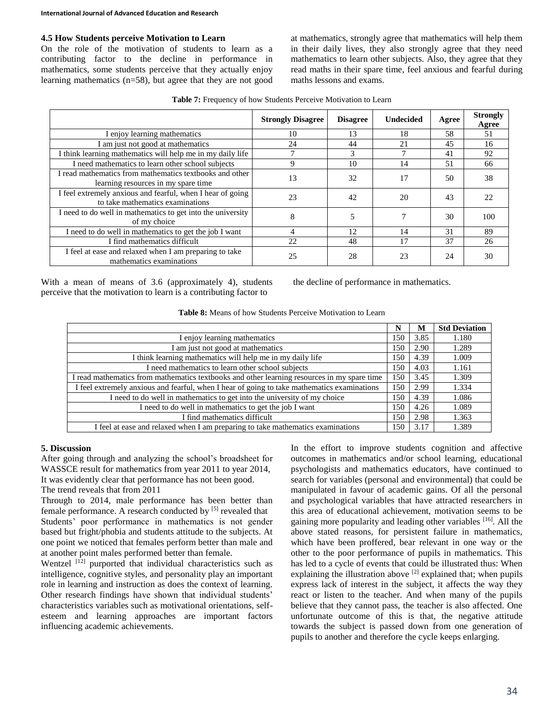# **4.5 How Students perceive Motivation to Learn**

On the role of the motivation of students to learn as a contributing factor to the decline in performance in mathematics, some students perceive that they actually enjoy learning mathematics (n=58), but agree that they are not good at mathematics, strongly agree that mathematics will help them in their daily lives, they also strongly agree that they need mathematics to learn other subjects. Also, they agree that they read maths in their spare time, feel anxious and fearful during maths lessons and exams.

**Table 7:** Frequency of how Students Perceive Motivation to Learn

|                                                                                                | <b>Strongly Disagree</b> | <b>Disagree</b> | <b>Undecided</b> | Agree | <b>Strongly</b><br>Agree |
|------------------------------------------------------------------------------------------------|--------------------------|-----------------|------------------|-------|--------------------------|
| I enjoy learning mathematics                                                                   | 10                       | 13              | 18               | 58    | 51                       |
| I am just not good at mathematics                                                              | 24                       | 44              | 21               | 45    | 16                       |
| I think learning mathematics will help me in my daily life                                     |                          | 3               |                  | 41    | 92                       |
| I need mathematics to learn other school subjects                                              | 9                        | 10              | 14               | 51    | 66                       |
| I read mathematics from mathematics textbooks and other<br>learning resources in my spare time | 13                       | 32              | 17               | 50    | 38                       |
| I feel extremely anxious and fearful, when I hear of going<br>to take mathematics examinations | 23                       | 42              | 20               | 43    | 22                       |
| I need to do well in mathematics to get into the university<br>of my choice                    | 8                        | 5               |                  | 30    | 100                      |
| I need to do well in mathematics to get the job I want                                         | 4                        | 12              | 14               | 31    | 89                       |
| I find mathematics difficult                                                                   | 22                       | 48              | 17               | 37    | 26                       |
| I feel at ease and relaxed when I am preparing to take<br>mathematics examinations             | 25                       | 28              | 23               | 24    | 30                       |

With a mean of means of 3.6 (approximately 4), students perceive that the motivation to learn is a contributing factor to

the decline of performance in mathematics.

| <b>Table 8:</b> Means of how Students Perceive Motivation to Learn |  |
|--------------------------------------------------------------------|--|
|--------------------------------------------------------------------|--|

|                                                                                             | N   | M    | <b>Std Deviation</b> |
|---------------------------------------------------------------------------------------------|-----|------|----------------------|
| I enjoy learning mathematics                                                                | 150 | 3.85 | 1.180                |
| I am just not good at mathematics                                                           | 150 | 2.90 | 1.289                |
| I think learning mathematics will help me in my daily life                                  | 150 | 4.39 | 1.009                |
| I need mathematics to learn other school subjects                                           | 150 | 4.03 | 1.161                |
| I read mathematics from mathematics textbooks and other learning resources in my spare time | 150 | 3.45 | 1.309                |
| I feel extremely anxious and fearful, when I hear of going to take mathematics examinations | 150 | 2.99 | 1.334                |
| I need to do well in mathematics to get into the university of my choice                    | 150 | 4.39 | 1.086                |
| I need to do well in mathematics to get the job I want                                      | 150 | 4.26 | 1.089                |
| I find mathematics difficult                                                                | 150 | 2.98 | 1.363                |
| I feel at ease and relaxed when I am preparing to take mathematics examinations             | 150 | 3.17 | 1.389                |

### **5. Discussion**

After going through and analyzing the school's broadsheet for WASSCE result for mathematics from year 2011 to year 2014, It was evidently clear that performance has not been good.

The trend reveals that from 2011

Through to 2014, male performance has been better than female performance. A research conducted by [5] revealed that Students' poor performance in mathematics is not gender based but fright/phobia and students attitude to the subjects. At one point we noticed that females perform better than male and at another point males performed better than female.

Wentzel  $[12]$  purported that individual characteristics such as intelligence, cognitive styles, and personality play an important role in learning and instruction as does the context of learning. Other research findings have shown that individual students' characteristics variables such as motivational orientations, selfesteem and learning approaches are important factors influencing academic achievements.

In the effort to improve students cognition and affective outcomes in mathematics and/or school learning, educational psychologists and mathematics educators, have continued to search for variables (personal and environmental) that could be manipulated in favour of academic gains. Of all the personal and psychological variables that have attracted researchers in this area of educational achievement, motivation seems to be gaining more popularity and leading other variables [16]. All the above stated reasons, for persistent failure in mathematics, which have been proffered, bear relevant in one way or the other to the poor performance of pupils in mathematics. This has led to a cycle of events that could be illustrated thus: When explaining the illustration above  $[2]$  explained that; when pupils express lack of interest in the subject, it affects the way they react or listen to the teacher. And when many of the pupils believe that they cannot pass, the teacher is also affected. One unfortunate outcome of this is that, the negative attitude towards the subject is passed down from one generation of pupils to another and therefore the cycle keeps enlarging.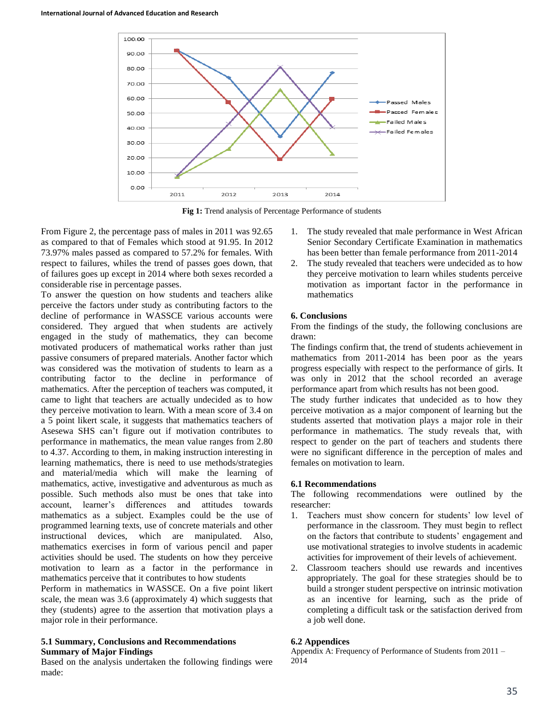

**Fig 1:** Trend analysis of Percentage Performance of students

From Figure 2, the percentage pass of males in 2011 was 92.65 as compared to that of Females which stood at 91.95. In 2012 73.97% males passed as compared to 57.2% for females. With respect to failures, whiles the trend of passes goes down, that of failures goes up except in 2014 where both sexes recorded a considerable rise in percentage passes.

To answer the question on how students and teachers alike perceive the factors under study as contributing factors to the decline of performance in WASSCE various accounts were considered. They argued that when students are actively engaged in the study of mathematics, they can become motivated producers of mathematical works rather than just passive consumers of prepared materials. Another factor which was considered was the motivation of students to learn as a contributing factor to the decline in performance of mathematics. After the perception of teachers was computed, it came to light that teachers are actually undecided as to how they perceive motivation to learn. With a mean score of 3.4 on a 5 point likert scale, it suggests that mathematics teachers of Asesewa SHS can't figure out if motivation contributes to performance in mathematics, the mean value ranges from 2.80 to 4.37. According to them, in making instruction interesting in learning mathematics, there is need to use methods/strategies and material/media which will make the learning of mathematics, active, investigative and adventurous as much as possible. Such methods also must be ones that take into account, learner's differences and attitudes towards mathematics as a subject. Examples could be the use of programmed learning texts, use of concrete materials and other instructional devices, which are manipulated. Also, mathematics exercises in form of various pencil and paper activities should be used. The students on how they perceive motivation to learn as a factor in the performance in mathematics perceive that it contributes to how students

Perform in mathematics in WASSCE. On a five point likert scale, the mean was 3.6 (approximately 4) which suggests that they (students) agree to the assertion that motivation plays a major role in their performance.

### **5.1 Summary, Conclusions and Recommendations Summary of Major Findings**

Based on the analysis undertaken the following findings were made:

- 1. The study revealed that male performance in West African Senior Secondary Certificate Examination in mathematics has been better than female performance from 2011-2014
- 2. The study revealed that teachers were undecided as to how they perceive motivation to learn whiles students perceive motivation as important factor in the performance in mathematics

### **6. Conclusions**

From the findings of the study, the following conclusions are drawn:

The findings confirm that, the trend of students achievement in mathematics from 2011-2014 has been poor as the years progress especially with respect to the performance of girls. It was only in 2012 that the school recorded an average performance apart from which results has not been good.

The study further indicates that undecided as to how they perceive motivation as a major component of learning but the students asserted that motivation plays a major role in their performance in mathematics. The study reveals that, with respect to gender on the part of teachers and students there were no significant difference in the perception of males and females on motivation to learn.

# **6.1 Recommendations**

The following recommendations were outlined by the researcher:

- 1. Teachers must show concern for students' low level of performance in the classroom. They must begin to reflect on the factors that contribute to students' engagement and use motivational strategies to involve students in academic activities for improvement of their levels of achievement.
- 2. Classroom teachers should use rewards and incentives appropriately. The goal for these strategies should be to build a stronger student perspective on intrinsic motivation as an incentive for learning, such as the pride of completing a difficult task or the satisfaction derived from a job well done.

# **6.2 Appendices**

Appendix A: Frequency of Performance of Students from 2011 – 2014